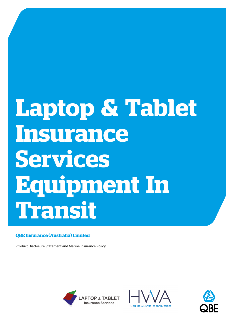# **Laptop & Tablet Insurance Services Equipment In Transit**

## **QBE Insurance (Australia) Limited**

Product Disclosure Statement and Marine Insurance Policy





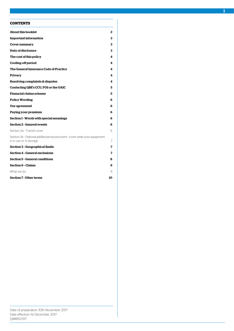## **CONTENTS**

| <b>About this booklet</b>                                                                              | 2              |
|--------------------------------------------------------------------------------------------------------|----------------|
| <b>Important information</b>                                                                           | 3              |
| <b>Cover summary</b>                                                                                   | 3              |
| <b>Duty of disclosure</b>                                                                              | 3              |
| The cost of this policy                                                                                | 4              |
| <b>Cooling-off period</b>                                                                              | 4              |
| The General Insurance Code of Practice                                                                 | 4              |
| <b>Privacy</b>                                                                                         | 4              |
| Resolving complaints & disputes                                                                        | 4              |
| Contacting QBE's CCU, FOS or the OAIC                                                                  | 5              |
| Financial claims scheme                                                                                | 5              |
| <b>Policy Wording</b>                                                                                  | 6              |
| Our agreement                                                                                          | 6              |
| Paying your premium                                                                                    | 6              |
| Section 1 - Words with special meanings                                                                | 6              |
| <b>Section 2 - Insured events</b>                                                                      | 6              |
| Section 2a - Transit cover                                                                             | 6              |
| Section 2b - Optional additional insured event - cover while your equipment<br>is in use or in storage | $\overline{7}$ |
| <b>Section 3 - Geographical limits</b>                                                                 | 7              |
| <b>Section 4 - General exclusions</b>                                                                  | 7              |
| <b>Section 5 - General conditions</b>                                                                  | 8              |
| <b>Section 6 - Claims</b>                                                                              | 9              |
| What we do                                                                                             | 9              |
| <b>Section 7 - Other terms</b>                                                                         | 10             |

1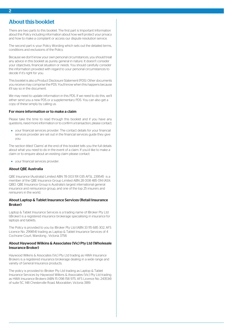## <span id="page-2-0"></span>About this booklet

There are two parts to this booklet. The first part is Important Information about this Policy including information about how we'll protect your privacy and how to make a complaint or access our dispute resolution service.

The second part is your Policy Wording which sets out the detailed terms, conditions and exclusions of the Policy.

Because we don't know your own personal circumstances, you should treat any advice in this booklet as purely general in nature. It doesn't consider your objectives, financial situation or needs. You should carefully consider the information provided with regard to your personal circumstances to decide if it's right for you.

This booklet is also a Product Disclosure Statement (PDS). Other documents you receive may comprise the PDS. You'll know when this happens because it'll say so in the document.

We may need to update information in this PDS. If we need to do this, we'll either send you a new PDS or a supplementary PDS. You can also get a copy of these simply by calling us.

## For more information or to make a claim

Please take the time to read through this booklet and if you have any questions, need more information or to confirm a transaction, please contact:

your financial services provider. The contact details for your financial services provider are set out in the financial services guide they give you.

The section titled 'Claims' at the end of this booklet tells you the full details about what you need to do in the event of a claim. If you'd like to make a claim or to enquire about an existing claim please contact:

your financial services provider.

#### About QBE Australia

QBE Insurance (Australia) Limited ABN 78 003 191 035 AFSL 239545 is a member of the QBE Insurance Group Limited ABN 28 008 485 014 (ASX: QBE). QBE Insurance Group is Australia's largest international general insurance and reinsurance group, and one of the top 25 insurers and reinsurers in the world.

## About Laptop & Tablet Insurance Services (Retail Insurance Broker)

Laptop & Tablet Insurance Services is a trading name of IBroker Pty Ltd (iBroker) is a registered insurance brokerage specialising in insurance for laptops and tablets.

The Policy is provided to you by IBroker Pty Ltd (ABN 33 115 685 302, AFS Licence No. 299814) trading as Laptop & Tablet Insurance Services of 4 Cochrane Court, Wandong , Victoria 3758.

## About Haywood Wilkins & Associates (Vic) Pty Ltd (Wholesale Insurance Broker)

Haywood Wilkins & Associates (Vic) Pty Ltd trading as HWA Insurance Brokers is a registered insurance brokerage dealing in a wide range and variety of General Insurance products.

The policy is provided to IBroker Pty Ltd trading as Laptop & Tablet Insurance Services by Haywood Wilkins & Associates (Vic) Pty Ltd trading as HWA Insurance Brokers (ABN 15 098 158 975, AFS Licence No. 243534) of suite 5C, 148 Chesterville Road, Moorabbin, Victoria 3189.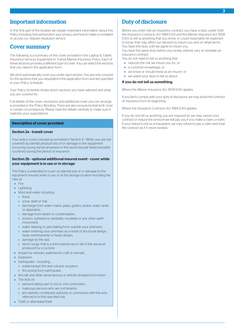## <span id="page-3-0"></span>Important information

In this first part of the booklet we explain important information about this Policy including how we'll protect your privacy and how to make a complaint or access our dispute resolution service.

## <span id="page-3-1"></span>Cover summary

The following is a summary of the cover provided in the Laptop & Tablet Insurance Services Equipment in Transit Marine Insurance Policy. Each of these sections provides a different type of cover. You can select the sections that you need in the application form .

We don't automatically cover you under each section. You are only covered for the sections that you requested in the application form and are specified in your Policy Schedule.

Your Policy Schedule shows which sections you have selected and what you are covered for.

Full details of the cover, exclusions and additional cover you can arrange is provided in the Policy Wording. There are also exclusions that limit cover in certain circumstances. Please read the details carefully to make sure it matches your expectations.

## **Description of cover provided**

## Section 2a - transit cover

Your policy covers, (except as provided in Section 4 - 'When you are not covered') accidental physical loss of or damage to the equipment occurring during transit anywhere in the world (except listed excluded countries) during the period of insurance.

## Section 2b - optional additional insured event - cover while your equipment is in use or in storage

The Policy is extended to cover accidental loss of or damage to the equipment insured while in use or at the storage location including the risks of:

- $\bullet$  Fire
- Lightning
- Wind and water including
	- flood;
	- snow, sleet or hail;
	- o discharge from water mains, pipes, gutters, drains, water tanks or apparatus;
	- damage from steam or condensation;
	- erosion, subsidence, landslide, mudslide or any other earth movement;
	- o water seeping or percolating from outside your premises;
	- water entering your premises as a result of structural design, faulty workmanship or faulty design;
	- o damage by the sea-
	- storm surge, that is a short period rise or fall of the sea level produced by a cyclone.
- Impact by vehicles, waterborne craft or animals.
- **•** Explosion
- $\bullet$  Farthquake including:
	- subterranean fire and volcanic eruption;
	- o fire arising from earthquake.
- Aircraft and other aerial devices or articles dropped from them.
- The Acts of:
	- persons taking part in riot or civil commotion;
- o malicious persons who are not tenants;
	- any lawfully constituted authority in connection with the acts referred to in this specified risk.
- Theft or attempted theft

## <span id="page-3-2"></span>Duty of disclosure

Before you enter into an insurance contract, you have a duty, under both the *Insurance Contracts Act 1984* (Cth) and the *Marine Insurance Act 1909* (Cth), to tell us anything that you know, or could reasonably be expected to know, that may affect our decision to insure you and on what terms. You have this duty until we agree to insure you.

You have the same duty before you renew, extend, vary or reinstate an insurance contract.

You do not need to tell us anything that:

- reduces the risk we insure you for, or
- is common knowledge, or
- we know or should know as an insurer, or
- we waive your duty to tell us about.

#### If you do not tell us something

Where the *Marine Insurance Act 1909* (Cth) applies:

If you fail to comply with your duty of disclosure, we may avoid the contract of insurance from its beginning.

Where the *Insurance Contracts Act 1984* (Cth) applies:

If you do not tell us anything you are required to, we may cancel your contract or reduce the amount we will pay you if you make a claim, or both. If your failure to tell us is fraudulent, we may refuse to pay a claim and treat the contract as if it never existed.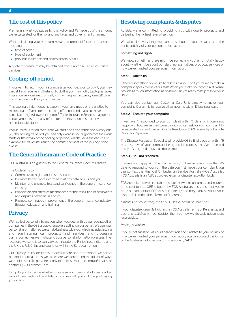# <span id="page-4-0"></span>The cost of this policy

Premium is what you pay us for this Policy and it's made up of the amount we've calculated for the risk and any taxes and government charges.

When calculating your premium we take a number of factors into account, including:

- type of cover
- type of equipment
- **•** previous insurance and claims history of you.

<span id="page-4-1"></span>A quote for premium may be obtained from Laptop & Tablet Insurance Services.

## Cooling-off period

If you want to return your insurance after your decision to buy it, you may cancel it and receive a full refund. To do this you may notify Laptop & Tablet Insurance Services electronically or in writing within twenty one (21) days from the date the Policy commenced.

This cooling-off right does not apply if you have made or are entitled to make a claim. Even after the cooling-off period ends, you still have cancellation rights however Laptop & Tablet Insurance Services may deduct certain amounts from any refund for administration costs or any non-refundable taxes.

<span id="page-4-2"></span>If your Policy is for an event that will start and finish within the twenty one (21) day cooling-off period, you can only exercise your right before the event starts or the expiry of the cooling-off period, whichever is the earlier. For example, for travel insurance, the commencement of the journey is the event.

## The General Insurance Code of Practice

QBE Australia is a signatory to the General Insurance Code of Practice.

The Code aims to:

- Commit us to high standards of service
- Promote better, more informed relations between us and you
- Maintain and promote trust and confidence in the general insurance industry
- <span id="page-4-3"></span>• Provide fair and effective mechanisms for the resolution of complaints and disputes between us and you
- Promote continuous improvement of the general insurance industry through education and training.

# **Privacy**

We'll collect personal information when you deal with us, our agents, other companies in the QBE group or suppliers acting on our behalf. We use your personal information so we can do business with you, which includes issuing and administering our products and services and processing claims. Sometimes we might send your personal information overseas. The locations we send it to can vary but include the Philippines, India, Ireland, the UK, the US, China and countries within the European Union.

Our Privacy Policy describes in detail where and from whom we collect personal information, as well as where we store it and the full list of ways we could use it. To get a free copy of it please visit qbe.com.au/privacy or contact QBE Customer Care.

It's up to you to decide whether to give us your personal information, but without it we might not be able to do business with you, including not paying your claim.

# <span id="page-4-4"></span>Resolving complaints & disputes

At QBE we're committed to providing you with quality products and delivering the highest level of service.

We also do everything we can to safeguard your privacy and the confidentiality of your personal information.

## Something not right?

We know sometimes there might be something you're not totally happy about, whether it be about our staff, representatives, products, services or how we've handled your personal information.

## Step 1 – Talk to us

If there's something you'd like to talk to us about, or if you'd like to make a complaint, speak to one of our staff. When you make your complaint please provide as much information as possible. They're ready to help resolve your issue.

You can also contact our Customer Care Unit directly to make your complaint. Our aim is to resolve all complaints within 15 business days.

## Step 2 – Escalate your complaint

If we haven't responded to your complaint within 15 days, or if you're not happy with how we've tried to resolve it, you can ask for your complaint to be escalated for an Internal Dispute Resolution (IDR) review by a Dispute Resolution Specialist.

The Dispute Resolution Specialist will provide QBE's final decision within 15 business days of your complaint being escalated, unless they've requested and you've agreed to give us more time.

## Step 3 – Still not resolved?

If you're not happy with the final decision, or if we've taken more than 45 days to respond to you from the date you first made your complaint, you can contact the Financial Ombudsman Service Australia (FOS Australia). FOS Australia is an ASIC approved external dispute resolution body.

FOS Australia resolves insurance disputes between consumers and insurers, at no cost to you. QBE is bound by FOS Australia's decisions - but you're not. You can contact FOS Australia directly and they'll advise you if your dispute falls within their Terms of Reference.

#### *Disputes not covered by the FOS Australia Terms of Reference*

If your dispute doesn't fall within the FOS Australia Terms of Reference, and you're not satisfied with our decision then you may wish to seek independent legal advice.

## *Privacy complaints*

If you're not satisfied with our final decision and it relates to your privacy or how we've handled your personal information, you can contact the Office of the Australian Information Commissioner (OAIC).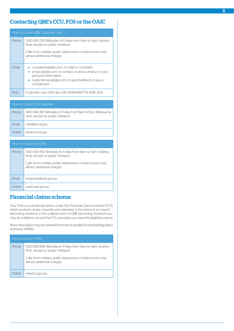# <span id="page-5-0"></span>Contacting QBE's CCU, FOS or the OAIC

| How to contact OBE Customer Care |                                                                                                                                                                                                          |  |
|----------------------------------|----------------------------------------------------------------------------------------------------------------------------------------------------------------------------------------------------------|--|
| <b>Phone</b>                     | 1300 650 503 (Monday to Friday from 9am to 5pm, Sydney<br>time, except on public holidays).                                                                                                              |  |
|                                  | Calls from mobiles, public telephones or hotel rooms may<br>attract additional charges.                                                                                                                  |  |
| Fmail                            | complaints@gbe.com, to make a complaint.<br>privacy@gbe.com, to contact us about privacy or your<br>personal information.<br>customercare@gbe.com, to give feedback or pay a<br>$\bullet$<br>compliment. |  |
| Post                             | Customer Care, GPO Box 219, PARRAMATTA NSW 2124                                                                                                                                                          |  |

| How to contact FOS Australia |                                                                                               |  |
|------------------------------|-----------------------------------------------------------------------------------------------|--|
| <b>Phone</b>                 | 1800 367 287 (Monday to Friday from 9am to 5pm, Melbourne<br>time, except on public holidays) |  |
| Fmail                        | info@fos.org.au                                                                               |  |
| Online                       | www.fos.org.au                                                                                |  |
|                              |                                                                                               |  |

| How to contact the OAIC |                                                                                             |  |
|-------------------------|---------------------------------------------------------------------------------------------|--|
| Phone                   | 1300 363 992 (Monday to Friday from 9am to 5pm, Sydney<br>time, except on public holidays). |  |
|                         | Calls from mobiles, public telephones or hotel rooms may<br>attract additional charges.     |  |
| Fmail                   | enquiries@oaic.gov.au                                                                       |  |
| )nline                  | www.oaic.gov.au                                                                             |  |

# <span id="page-5-1"></span>Financial claims scheme

Your Policy is a protected policy under the Financial Claims Scheme (FCS), which protects certain insureds and claimants in the event of an insurer becoming insolvent. In the unlikely event of QBE becoming insolvent you may be entitled to access the FCS, provided you meet the eligibility criteria.

More information may be obtained from the Australian Prudential Regulation Authority (APRA).

| How to contact APRA |                                                                                             |  |
|---------------------|---------------------------------------------------------------------------------------------|--|
| <b>Phone</b>        | 1300 558 849 (Monday to Friday from 9am to 5pm, Sydney<br>time, except on public holidays). |  |
|                     | Calls from mobiles, public telephones or hotel rooms may<br>attract additional charges.     |  |
| Online              | www.fcs.gov.au                                                                              |  |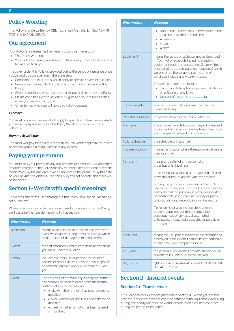# <span id="page-6-0"></span>Policy Wording

This Policy is underwritten by QBE Insurance (Australia) Limited ABN 78 003 191 035 AFSL 239545.

## <span id="page-6-1"></span>Our agreement

Your Policy is an agreement between you and us, made up of:

- This Policy Wording
- Your Policy Schedule, which sets out the cover you've chosen and any terms specific to you.

The cover under this Policy is provided during the period of insurance, once you've paid us your premium. There are also:

- Conditions and exclusions which apply to specific covers or sections;
- General exclusions, which apply to any claim you make under this Policy;
- General conditions, which set out your responsibilities under this Policy;
- Claims conditions, which set out our rights and your responsibilities when you make a claim; and
- Other terms, which set out how this Policy operates.

#### Excesses

You must pay any excesses which apply to your claim. The excesses which you have to pay are set out in this Policy Wording or on your Policy Schedule.

## <span id="page-6-2"></span>How much we'll pay

The most we'll pay for a claim is the sum insured which applies to the cover or section you're claiming under, less any excess.

## Paying your premium

<span id="page-6-3"></span>You must pay your premium, any adjustments of premium, GST and other amounts charged for this Policy and any renewal, extension or endorsement to this Policy by the due date. If we do not receive the premium by this date or your payment is dishonoured, this Policy will not operate and there will be no cover.

## Section 1 - Words with special meanings

The words and terms used throughout this Policy have special meanings set out below.

Where other words and terms are only used in one section of the Policy, we'll describe their special meaning in that section.

| When we say   | We mean                                                                                                                                                                                                                                                                                                                                       |
|---------------|-----------------------------------------------------------------------------------------------------------------------------------------------------------------------------------------------------------------------------------------------------------------------------------------------------------------------------------------------|
| Accidental    | means a sudden and unforeseen occurrence or<br>event which arises during transit or storage which<br>results in loss or damage to the equipment.                                                                                                                                                                                              |
| <b>Fxcess</b> | the first amount you must contribute to any claim<br>you make under this Policy.                                                                                                                                                                                                                                                              |
| Family        | includes your spouse or partner, the children,<br>parents or other relatives of your or your spouse<br>or domestic partner who live permanently with<br>you.                                                                                                                                                                                  |
| Flood         | The covering of normally dry land by water that<br>has escaped or been released from the normal<br>confines of any of the following:<br>A lake (whether or not it has been altered or<br>$\bullet$<br>modified)<br>A river (whether or not it has been altered or<br>modified)<br>A creek (whether or not it has been altered<br>or modified) |

| <b>When we say</b>     | <b>We mean</b>                                                                                                                                                                                                                                                                            |
|------------------------|-------------------------------------------------------------------------------------------------------------------------------------------------------------------------------------------------------------------------------------------------------------------------------------------|
|                        | Another natural watercourse (whether or not<br>it has been altered or modified)<br>A reservoir<br>A canal<br>A dam.                                                                                                                                                                       |
| Equipment              | means the laptop or tablet computer described<br>in Your Policy Schedule including standard<br>equipment, tools and accessories (factory fitted<br>or supplied by the computer manufacturer) which<br>were in or on the computer at the time of<br>purchase, including any carrying case. |
|                        | This definition does not include:<br>car or mobile telephones, pagers, calculators<br>or software of any kind;<br>the cost of restoring any lost data.                                                                                                                                    |
| Insured events         | any occurrence that gives rise to a valid claim<br>under the Policy.                                                                                                                                                                                                                      |
| Period of insurance    | the period shown in the Policy Schedule.                                                                                                                                                                                                                                                  |
| Premium                | The amount payable by you in respect of Insured<br>Equipment, and shall include any levies, fees, taxes<br>and charges as detailed in your invoice.                                                                                                                                       |
| <b>Policy Schedule</b> | the schedule of insurance.                                                                                                                                                                                                                                                                |
| Storage Location       | means the location where the equipment is being<br>used or stored.                                                                                                                                                                                                                        |
| Terrorism              | means any act(s) of any person(s) or<br>organisation(s) involving:                                                                                                                                                                                                                        |
|                        | the causing, occasioning or threatening of harm<br>of whatever nature and by whatever means;                                                                                                                                                                                              |
|                        | putting the public or any section of the public in<br>fear, in circumstances in which it is reasonable to<br>conclude that the purpose(s) of the person(s) or<br>organisation(s) concerned are wholly or partly<br>political, religious, ideological or similar nature.                   |
|                        | 'Terrorism' shall also include steps taken to<br>prevent, suppress, control or reduce the<br>consequences of any actual, attempted,<br>anticipated, threatened, suspected or perceived<br>terrorism.                                                                                      |
| <b>Total Loss</b>      | means the Equipment Insured is lost, damaged or<br>destroyed to the extent it cannot be economically<br>repaired by your computer supplier.                                                                                                                                               |
| You, your              | the person(s), companies or firms named on the<br>current Policy Schedule as the 'Insured'.                                                                                                                                                                                               |
| We, our, us            | QBE Insurance (Australia) Limited ABN 78 003 191<br>035 AFSL 239545.                                                                                                                                                                                                                      |

## <span id="page-6-5"></span><span id="page-6-4"></span>Section 2 – Insured events

## Section 2a - Transit cover

This Policy covers, except as provided in Section 4 - 'When you are not covered', accidental physical loss of or damage to the equipment occurring during transit anywhere in the world (except listed excluded countries) during the period of insurance.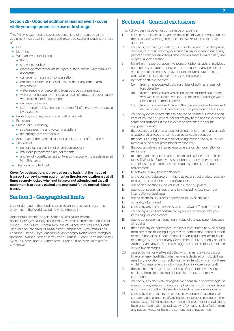## <span id="page-7-0"></span>Section 2b - Optional additional insured event - cover while your equipment is in use or in storage

This Policy is extended to cover accidental loss of or damage to the equipment insured while in use or at the storage location including the risks of:

- $\blacksquare$ Fire
- Lightning
- Wind and water including:
	- flood;
	- snow, sleet or hail;
	- discharge from water mains, pipes, gutters, drains, water tanks or apparatus;
	- damage from steam or condensation;
	- erosion, subsidence, landslide, mudslide or any other earth movement;
	- o water seeping or percolating from outside your premises;
	- water entering your premises as a result of structural design, faulty workmanship or faulty design;
	- o damage by the sea;
	- storm surge, that is a short period rise or fall of the sea level produced by a cyclone.
- Impact by vehicles, waterborne craft or animals.  $\bullet$
- Explosion.  $\bullet$
- Earthquake including:  $\bullet$ 
	- o subterranean fire and volcanic eruption;
	- o fire arising from earthquake.
- Aircraft and other aerial devices or articles dropped from them.
- The Acts of:
	- persons taking part in riot or civil commotion;
	- o malicious persons who are not tenants;
	- any lawfully constituted authority in connection with the acts referred to in this item.
- Theft or attempted theft.

<span id="page-7-1"></span>Cover for both sections is provided on the basis that the mode of transport conveying your equipment or the storage location are at all times securely locked when not in use or not attended and that all equipment is properly packed and protected for the normal risks of transit.

# Section 3 – Geographical limits

Loss or damage to the goods caused by an insured event occurring anywhere in the World excluding while situated in:

Afghanistan, Albania, Angola, Armenia, Azerbaijan, Belarus,

Bosnia-Herzegovina, Bulgaria, Burma/Myanmar, Democratic Republic of Congo, Cuba, Eritrea, Georgia, Republic of Guinea, Iran, Iraq, Ivory Coast (Republic of Côte d'Ivoire), Kazakhstan, Kampuchea, Kyrgyzstan, Laos, Lebanon, Liberia, Libya, Macedonia, Montenegro, North Korea, Mongolia, Romania, Rwanda, Serbia, Sierra Leone, Somalia, Sudan (North and South), Syria, Tajikistan, Tibet, Turkmenistan, Ukraine, Uzbekistan, Zaire and/or Zimbabwe.

## <span id="page-7-2"></span>Section 4 – General exclusions

This Policy does not cover loss or damage or expense:

- 1. caused by mechanical and/or electrical breakdown of any kind, unless the breakdown/derangement occurs as a result of an external accident;
- 2. caused by corrosion, oxidation, rust, insects, vermin, dust, dampness, dryness, cold, heat, wasting, or wearing away or wearing out of any part of an item of insured equipment which arises from ordinary use or gradual deterioration;
- 3. from theft, misappropriation, intentional or dishonest acts, or malicious damage by you, your employees, the end user, or any person to whom you or the end user have lent the insured equipment or otherwise permitted to use the insured equipment
- 4. by theft or attempted theft:
	- (a) from an unoccupied building unless directly as a result of forcible entry;
	- (b) from an unoccupied vehicle unless the insured equipment was within the locked vehicle and the loss or damage was a direct result of forcible entry;
	- (c) from any unsecured place in the open air, unless the insured item is under the direct control and supervision of the insured.
- 5. caused by dents or scratches to painted or polished surfaces of an item of insured equipment, nor will we pay to replace the dented or scratched surfaces unless the dents or scratches render the equipment unsafe-
- 6. that occurs during or as a result of being transported in any aircraft or watercraft unless the item is carried as cabin baggage;
- 7. that occurs during or as a result of being transported by a Courier, Removalist, or other professional transporter;
- 8. that occurs while the insured equipment is on demonstration or exhibition;
- 9. to expendable or consumable items including fuses, belts, chains, tapes, DVD disks, Blue-ray disks or ribbons or any other part of an item of insured equipment which requires periodic or frequent replacement;
- 10. to software of any type whatsoever;
- 11. or the costs for data programming, data reconstruction, data recovery or program installation or reconfiguration;
- 12. due to depreciation in the value of insured equipment;
- 13. due to consequential loss of any kind, including lost income or interruption of business-
- 14. due to death, injury, illness or personal injury of any kind:
- 15. or liability of any kind;
- 16. caused by any computer virus, worm, malware, Trojan or the like;
- 17. caused by a wilful act committed by you or someone with your knowledge or connivance;
- 18. due to consequential reduction in value of the equipment because of repairs;
- 19. that is directly or indirectly caused by or contributed to by or arising from any of the following: Legal seizure, confiscation, nationalisation or requisition of the Goods, nationalisation, requisition, destruction or damage by the order of any Government, Public Authority or Local Authority, and any fines, penalties, aggravated, exemplary, liquidated or punitive damages;
- 20. caused by war or warlike activities, which means invasion, act or foreign enemy, hostilities (whether war is declared or not), civil war, rebellion, revolution, insurrection or civil strife following any of these whilst Your equipment is not on board a ship, vessel or aircraft;
- 21. the absence, shortage or withholding of labour of any description resulting from strike, lockout, labour disturbance, riot or civil commotion;
- 22. caused by any chemical, biological, bio-chemical, or electromagnetic weapon or any weapon or device employing atomic or nuclear fission and/or fusion or other like reaction or radioactive force or matter;
- 23. caused by the radioactive, toxic, explosive or other hazardous or contaminating properties of any nuclear installation, reactor or other nuclear assembly or nuclear component thereof, ionising radiations from or contamination by radioactivity from any nuclear fuel or from any nuclear waste or from the combustion of nuclear fuel;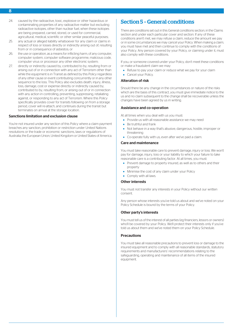- 24. caused by the radioactive, toxic, explosive or other hazardous or contaminating properties of any radioactive matter but excluding radioactive isotopes, other than nuclear fuel, when these isotopes are being prepared, carried, stored, or used for commercial, agricultural, medical, scientific or other similar peaceful purposes;
- 25. any actual or alleged liability whatsoever for any claim or claims in respect of loss or losses directly or indirectly arising out of, resulting from or in consequence of asbestos; or
- 26. the use or operation, as a means for inflicting harm, of any computer, computer system, computer software programme, malicious code, computer virus or processor any other electronic system;
- 27. directly or indirectly caused by, contributed to by, resulting from or arising out of or in connection with any act of Terrorism other than while the equipment is in Transit as defined by this Policy regardless of any other cause or event contributing concurrently or in any other sequence to the loss. This Policy also excludes death, injury, illness, loss, damage, cost or expense directly or indirectly caused by, contributed to by, resulting from, or arising out of or in connection with any action in controlling, preventing, suppressing, retaliating against, or responding to any act of Terrorism. Where this Policy specifically provides cover for transits following on from a storage period, cover will re-attach, and continues during the transit but terminates on arrival at the storage location.

#### Sanctions limitation and exclusion clause

You're not insured under any section of this Policy where a claim payment breaches any sanction, prohibition or restriction under United Nations resolutions or the trade or economic sanctions, laws or regulations of Australia, the European Union, United Kingdom or United States of America.

## <span id="page-8-0"></span>Section 5 – General conditions

There are conditions set out in this General conditions section, in the Claims section and under each particular cover and section. If any of these conditions aren't met, we may refuse a claim, reduce the amount we pay or in some circumstances we may cancel your Policy. When making a claim, you must have met and then continue to comply with the conditions of your Policy. Any person covered by your Policy, or claiming under it, must also comply with these conditions.

If you, or someone covered under your Policy, don't meet these conditions or make a fraudulent claim we may:

- Refuse to pay your claim or reduce what we pay for your claim
- Cancel your Policy.  $\bullet$

## Alteration of risk

Should there be any change in the circumstances or nature of the risks which are the basis of this contract, you must give immediate notice to the us and no claim subsequent to the change shall be recoverable unless the changes have been agreed by us in writing.

#### Assistance and co-operation

At all times when you deal with us you must:

- Provide us with all reasonable assistance we may need
- Be truthful and frank
- Not behave in a way that's abusive, dangerous, hostile, improper or threatening
- Co-operate fully with us, even after we've paid a claim.

#### Care and maintenance

You must take reasonable care to prevent damage, injury or loss. We won't pay for damage, injury, loss or your liability to which your failure to take reasonable care is a contributing factor. At all times, you must:

- Prevent damage to property insured, as well as to others and their property
- Minimise the cost of any claim under your Policy
- Comply with all laws.

#### Other interests

You must not transfer any interests in your Policy without our written consent.

Any person whose interests you've told us about and we've noted on your Policy Schedule is bound by the terms of your Policy.

## Other party's interests

You must tell us of the interest of all parties (eg financiers, lessors or owners) who'll be covered by your Policy. We'll protect their interests only if you've told us about them and we've noted them on your Policy Schedule.

#### **Precautions**

You must take all reasonable precautions to prevent loss or damage to the insured equipment and to comply with all reasonable standards, statutory requirements and manufacturers' recommendations relating to the safeguarding, operating and maintenance of all items of the insured equipment.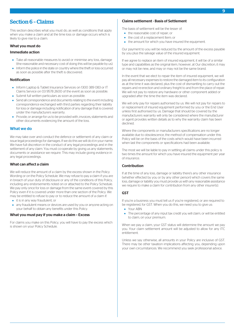## <span id="page-9-0"></span>Section 6 – Claims

This section describes what you must do, as well as conditions that apply when you make a claim and at the time loss or damage occurs which is likely to give rise to a claim.

## What you must do

## Immediate action

- Take all reasonable measures to avoid or minimise any loss, damage (the reasonable and necessary cost of doing this will be payable by us).
- Inform the police in the state or country where the theft or loss occurred as soon as possible after the theft is discovered.

## Notification

- Inform Laptop & Tablet Insurance Services on 1300 389 083 or IT Claims Service on 03 9578 2600 of the event as soon as possible.
- Submit full written particulars as soon as possible.
- Send all correspondence and documents relating to the event including correspondence exchanged with third parties regarding their liability for loss or damage including notification of any damage that is covered under the manufacturers warranty.
- <span id="page-9-1"></span>Provide, or arrange for us to be provided with, invoices, statements and other documents evidencing the amount of the loss.

## What we do

We may take over and conduct the defence or settlement of any claim or issue legal proceedings for damages. If we do this we will do it in your name. We have full discretion in the conduct of any legal proceedings and in the settlement of any claim. You must co-operate by giving us any statements, documents or assistance we require. This may include giving evidence in any legal proceedings.

## What can affect a claim

We will reduce the amount of a claim by the excess shown in the Policy Wording or on the Policy Schedule. We may refuse to pay a claim if you are in breach of your duty of disclosure or any of the conditions of this Policy, including any endorsements noted on or attached to the Policy Schedule. We pay only once for loss or damage from the same event covered by this Policy even if it is covered under more than one section of the Policy. We may be entitled to refuse to pay or to reduce the amount of a claim if:

- it is in any way fraudulent, or
- any fraudulent means or devices are used by you or anyone acting on your behalf to obtain any benefits under this Policy.

## What you must pay if you make a claim – Excess

For claims you make on this Policy, you will have to pay the excess which is shown on your Policy Schedule.

## Claims settlement - Basis of Settlement

The basis of settlement will be the lesser of:

- the reasonable cost of repair; or
- the cost of a replacement Item; or
- the amount for which you have insured the equipment.

Our payment to you will be reduced by the amount of the excess payable by you plus the salvage value of the insured equipment.

If we agree to replace an item of insured equipment, it will be of a similar type and capabilities as the original item, however, at Our discretion, it may or may not be new, and may or may not be the same brand.

In the event that we elect to repair the item of insured equipment, we will pay all necessary expenses to restore the damaged item to its configuration as at the time it was declared, plus the cost of dismantling to carry out the repairs and re-erection and ordinary freight to and from the place of repair. We will not pay to restore any hardware or other component added or upgraded after the time the item was declared.

We will only pay for repairs authorised by us. We will not pay for repairs to or replacement of insured equipment performed by you or the End User unless first authorised by us. Damage that should be covered by the manufacturers warranty will only be considered where the manufacturer or agent provides written details as to why the warranty claim has been declined.

Where the components or manufacturers specifications are no longer available due to obsolescence, the method of compensation under this Policy will be on the basis of the costs which would have been incurred when last the components or specifications had been available.

The most we will be liable to pay in settling all claims under this policy is two times the amount for which you have insured the equipment per year of insurance.

## Contribution

If at the time of any loss, damage or liability there's any other insurance (whether effected by you or by any other person) which covers the same loss, damage or liability you must provide us with any reasonable assistance we require to make a claim for contribution from any other insurer(s).

## **GST**

If you're a business you must tell us if you're registered, or are required to be registered, for GST. When you do this, we need you to give us:

- Your ABN
- The percentage of any input tax credit you will claim, or will be entitled to claim, on your premium.

When we pay a claim, your GST status will determine the amount we pay you. Your claim settlement amount will be adjusted to allow for any ITC entitlement.

Unless we say otherwise, all amounts in your Policy are inclusive of GST. There may be other taxation implications affecting you, depending upon your own circumstances. We recommend you seek professional advice.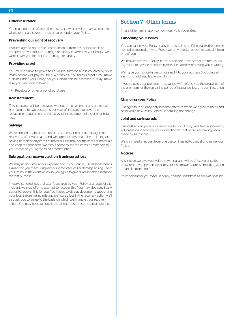## Other insurance

You must notify us of any other insurance which will or may, whether in whole or in part, cover any loss insured under your Policy.

## Preventing our right of recovery

If you've agreed not to seek compensation from any person liable to compensate you for loss, damage or liability covered by your Policy, we won't cover you for that loss, damage or liability.

## Providing proof

You must be able to prove to us you've suffered a loss covered by your Policy before we'll pay you for it. We may ask you for this proof if you make a claim under your Policy. So your claim can be assessed quickly, make sure you keep the following:

• Receipts or other proof of purchase.

#### Reinstatement

This insurance will be reinstated without the payment of any additional premium up to two occasions per year of insurance to cover the replacement equipment provided by us in settlement of a claim for total loss.

#### Salvage

We're entitled to obtain and retain any items or materials salvaged or recovered after you make, and we agree, to pay a claim by replacing or paying to replace any items or materials. We may sell the items or materials and keep the proceeds. We may choose to sell the items or materials to you, provided you agree to pay market price .

#### Subrogation, recovery action & uninsured loss

We may at any time, at our expense and in your name, use all legal means available to you of securing reimbursement for loss or damage arising under your Policy. In the event we do so, you agree to give all reasonable assistance for that purpose.

If you've suffered loss that wasn't covered by your Policy as a result of the incident, we may offer to attempt to recover this. You may also specifically ask us to recover this for you. You'll need to give us documents supporting your loss. Before we include any uninsured loss in the recovery action we'll also ask you to agree to the basis on which we'll handle your recovery action. You may need to contribute to legal costs in some circumstances.

## <span id="page-10-0"></span>Section 7 - Other terms

These other terms apply to how your Policy operates.

## Cancelling your Policy

You can cancel your Policy at any time by telling us. If there are other people named as insured on your Policy, we only need a request to cancel it from one of you.

We may cancel your Policy in any of the circumstances permitted by law (eg failure to pay the premium by the due date) by informing you in writing.

We'll give you notice in person or send it to your address (including an electronic address) last known to us.

If you've paid your premium in advance, we'll refund you the proportion of the premium for the remaining period of insurance, less any administration fees.

#### Changing your Policy

Changes to this Policy only become effective when we agree to them and send you a new Policy Schedule detailing the change.

## Joint and co-insureds

If more than one person is insured under your Policy, we'll treat a statement, act, omission, claim, request or direction by that person as having been made by all insured.

We only need a request from one person insured to cancel or change your **Policy** 

## Notices

Any notice we give you will be in writing, and will be effective once it's delivered to you personally or to your last known address (including when it's an electronic one).

It's important for you to tell us of any change of address as soon as possible.